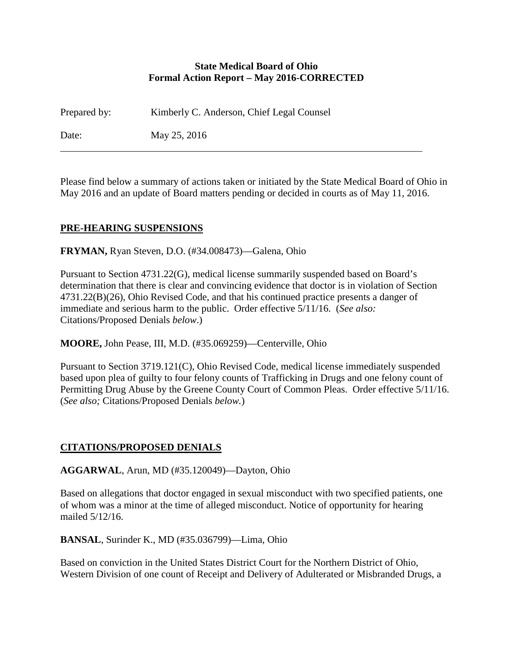### **State Medical Board of Ohio Formal Action Report – May 2016-CORRECTED**

Prepared by: Kimberly C. Anderson, Chief Legal Counsel Date: May 25, 2016

Please find below a summary of actions taken or initiated by the State Medical Board of Ohio in May 2016 and an update of Board matters pending or decided in courts as of May 11, 2016.

# **PRE-HEARING SUSPENSIONS**

**FRYMAN,** Ryan Steven, D.O. (#34.008473)—Galena, Ohio

Pursuant to Section 4731.22(G), medical license summarily suspended based on Board's determination that there is clear and convincing evidence that doctor is in violation of Section 4731.22(B)(26), Ohio Revised Code, and that his continued practice presents a danger of immediate and serious harm to the public. Order effective 5/11/16. (*See also:* Citations/Proposed Denials *below*.)

**MOORE,** John Pease, III, M.D. (#35.069259)—Centerville, Ohio

Pursuant to Section 3719.121(C), Ohio Revised Code, medical license immediately suspended based upon plea of guilty to four felony counts of Trafficking in Drugs and one felony count of Permitting Drug Abuse by the Greene County Court of Common Pleas. Order effective 5/11/16. (*See also;* Citations/Proposed Denials *below.*)

# **CITATIONS/PROPOSED DENIALS**

**AGGARWAL**, Arun, MD (#35.120049)—Dayton, Ohio

Based on allegations that doctor engaged in sexual misconduct with two specified patients, one of whom was a minor at the time of alleged misconduct. Notice of opportunity for hearing mailed 5/12/16.

**BANSAL**, Surinder K., MD (#35.036799)—Lima, Ohio

Based on conviction in the United States District Court for the Northern District of Ohio, Western Division of one count of Receipt and Delivery of Adulterated or Misbranded Drugs, a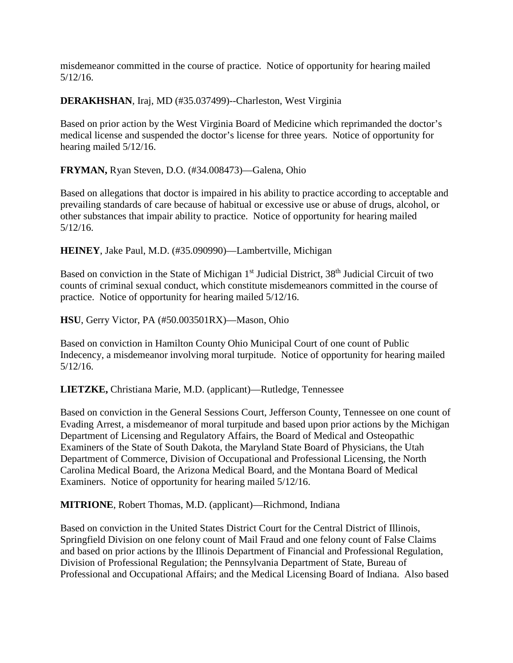misdemeanor committed in the course of practice. Notice of opportunity for hearing mailed 5/12/16.

**DERAKHSHAN**, Iraj, MD (#35.037499)--Charleston, West Virginia

Based on prior action by the West Virginia Board of Medicine which reprimanded the doctor's medical license and suspended the doctor's license for three years. Notice of opportunity for hearing mailed 5/12/16.

**FRYMAN,** Ryan Steven, D.O. (#34.008473)—Galena, Ohio

Based on allegations that doctor is impaired in his ability to practice according to acceptable and prevailing standards of care because of habitual or excessive use or abuse of drugs, alcohol, or other substances that impair ability to practice. Notice of opportunity for hearing mailed 5/12/16.

**HEINEY**, Jake Paul, M.D. (#35.090990)—Lambertville, Michigan

Based on conviction in the State of Michigan 1<sup>st</sup> Judicial District, 38<sup>th</sup> Judicial Circuit of two counts of criminal sexual conduct, which constitute misdemeanors committed in the course of practice. Notice of opportunity for hearing mailed 5/12/16.

**HSU**, Gerry Victor, PA (#50.003501RX)—Mason, Ohio

Based on conviction in Hamilton County Ohio Municipal Court of one count of Public Indecency, a misdemeanor involving moral turpitude. Notice of opportunity for hearing mailed 5/12/16.

**LIETZKE,** Christiana Marie, M.D. (applicant)—Rutledge, Tennessee

Based on conviction in the General Sessions Court, Jefferson County, Tennessee on one count of Evading Arrest, a misdemeanor of moral turpitude and based upon prior actions by the Michigan Department of Licensing and Regulatory Affairs, the Board of Medical and Osteopathic Examiners of the State of South Dakota, the Maryland State Board of Physicians, the Utah Department of Commerce, Division of Occupational and Professional Licensing, the North Carolina Medical Board, the Arizona Medical Board, and the Montana Board of Medical Examiners. Notice of opportunity for hearing mailed 5/12/16.

**MITRIONE**, Robert Thomas, M.D. (applicant)—Richmond, Indiana

Based on conviction in the United States District Court for the Central District of Illinois, Springfield Division on one felony count of Mail Fraud and one felony count of False Claims and based on prior actions by the Illinois Department of Financial and Professional Regulation, Division of Professional Regulation; the Pennsylvania Department of State, Bureau of Professional and Occupational Affairs; and the Medical Licensing Board of Indiana. Also based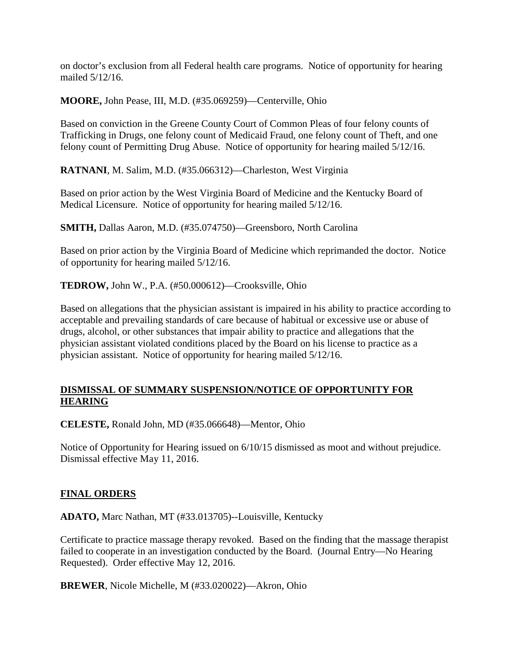on doctor's exclusion from all Federal health care programs. Notice of opportunity for hearing mailed 5/12/16.

**MOORE,** John Pease, III, M.D. (#35.069259)—Centerville, Ohio

Based on conviction in the Greene County Court of Common Pleas of four felony counts of Trafficking in Drugs, one felony count of Medicaid Fraud, one felony count of Theft, and one felony count of Permitting Drug Abuse. Notice of opportunity for hearing mailed 5/12/16.

**RATNANI**, M. Salim, M.D. (#35.066312)—Charleston, West Virginia

Based on prior action by the West Virginia Board of Medicine and the Kentucky Board of Medical Licensure. Notice of opportunity for hearing mailed 5/12/16.

**SMITH,** Dallas Aaron, M.D. (#35.074750)—Greensboro, North Carolina

Based on prior action by the Virginia Board of Medicine which reprimanded the doctor. Notice of opportunity for hearing mailed 5/12/16.

**TEDROW,** John W., P.A. (#50.000612)—Crooksville, Ohio

Based on allegations that the physician assistant is impaired in his ability to practice according to acceptable and prevailing standards of care because of habitual or excessive use or abuse of drugs, alcohol, or other substances that impair ability to practice and allegations that the physician assistant violated conditions placed by the Board on his license to practice as a physician assistant. Notice of opportunity for hearing mailed 5/12/16.

# **DISMISSAL OF SUMMARY SUSPENSION/NOTICE OF OPPORTUNITY FOR HEARING**

**CELESTE,** Ronald John, MD (#35.066648)—Mentor, Ohio

Notice of Opportunity for Hearing issued on 6/10/15 dismissed as moot and without prejudice. Dismissal effective May 11, 2016.

#### **FINAL ORDERS**

**ADATO,** Marc Nathan, MT (#33.013705)--Louisville, Kentucky

Certificate to practice massage therapy revoked. Based on the finding that the massage therapist failed to cooperate in an investigation conducted by the Board. (Journal Entry—No Hearing Requested). Order effective May 12, 2016.

**BREWER**, Nicole Michelle, M (#33.020022)—Akron, Ohio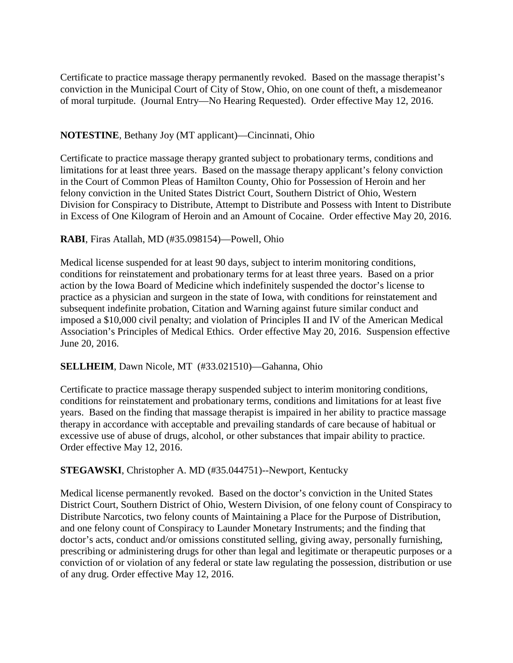Certificate to practice massage therapy permanently revoked. Based on the massage therapist's conviction in the Municipal Court of City of Stow, Ohio, on one count of theft, a misdemeanor of moral turpitude. (Journal Entry—No Hearing Requested). Order effective May 12, 2016.

### **NOTESTINE**, Bethany Joy (MT applicant)—Cincinnati, Ohio

Certificate to practice massage therapy granted subject to probationary terms, conditions and limitations for at least three years. Based on the massage therapy applicant's felony conviction in the Court of Common Pleas of Hamilton County, Ohio for Possession of Heroin and her felony conviction in the United States District Court, Southern District of Ohio, Western Division for Conspiracy to Distribute, Attempt to Distribute and Possess with Intent to Distribute in Excess of One Kilogram of Heroin and an Amount of Cocaine. Order effective May 20, 2016.

### **RABI**, Firas Atallah, MD (#35.098154)—Powell, Ohio

Medical license suspended for at least 90 days, subject to interim monitoring conditions, conditions for reinstatement and probationary terms for at least three years. Based on a prior action by the Iowa Board of Medicine which indefinitely suspended the doctor's license to practice as a physician and surgeon in the state of Iowa, with conditions for reinstatement and subsequent indefinite probation, Citation and Warning against future similar conduct and imposed a \$10,000 civil penalty; and violation of Principles II and IV of the American Medical Association's Principles of Medical Ethics. Order effective May 20, 2016. Suspension effective June 20, 2016.

#### **SELLHEIM**, Dawn Nicole, MT (#33.021510)—Gahanna, Ohio

Certificate to practice massage therapy suspended subject to interim monitoring conditions, conditions for reinstatement and probationary terms, conditions and limitations for at least five years. Based on the finding that massage therapist is impaired in her ability to practice massage therapy in accordance with acceptable and prevailing standards of care because of habitual or excessive use of abuse of drugs, alcohol, or other substances that impair ability to practice. Order effective May 12, 2016.

# **STEGAWSKI**, Christopher A. MD (#35.044751)--Newport, Kentucky

Medical license permanently revoked. Based on the doctor's conviction in the United States District Court, Southern District of Ohio, Western Division, of one felony count of Conspiracy to Distribute Narcotics, two felony counts of Maintaining a Place for the Purpose of Distribution, and one felony count of Conspiracy to Launder Monetary Instruments; and the finding that doctor's acts, conduct and/or omissions constituted selling, giving away, personally furnishing, prescribing or administering drugs for other than legal and legitimate or therapeutic purposes or a conviction of or violation of any federal or state law regulating the possession, distribution or use of any drug. Order effective May 12, 2016.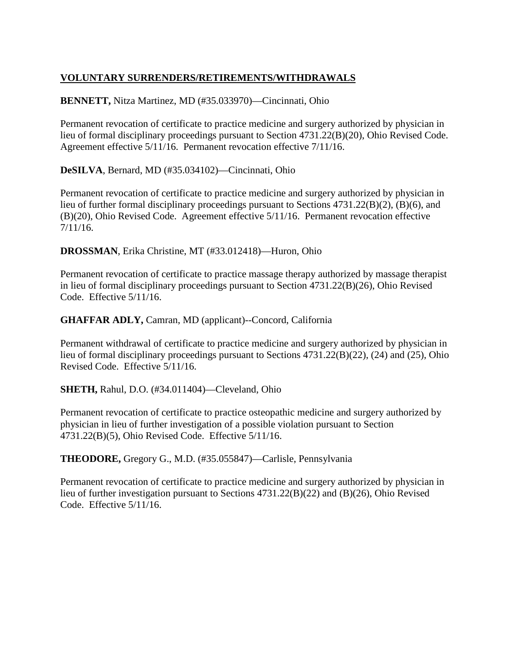# **VOLUNTARY SURRENDERS/RETIREMENTS/WITHDRAWALS**

# **BENNETT,** Nitza Martinez, MD (#35.033970)—Cincinnati, Ohio

Permanent revocation of certificate to practice medicine and surgery authorized by physician in lieu of formal disciplinary proceedings pursuant to Section 4731.22(B)(20), Ohio Revised Code. Agreement effective 5/11/16. Permanent revocation effective 7/11/16.

**DeSILVA**, Bernard, MD (#35.034102)—Cincinnati, Ohio

Permanent revocation of certificate to practice medicine and surgery authorized by physician in lieu of further formal disciplinary proceedings pursuant to Sections 4731.22(B)(2), (B)(6), and (B)(20), Ohio Revised Code. Agreement effective 5/11/16. Permanent revocation effective 7/11/16.

**DROSSMAN**, Erika Christine, MT (#33.012418)—Huron, Ohio

Permanent revocation of certificate to practice massage therapy authorized by massage therapist in lieu of formal disciplinary proceedings pursuant to Section 4731.22(B)(26), Ohio Revised Code. Effective 5/11/16.

# **GHAFFAR ADLY,** Camran, MD (applicant)--Concord, California

Permanent withdrawal of certificate to practice medicine and surgery authorized by physician in lieu of formal disciplinary proceedings pursuant to Sections 4731.22(B)(22), (24) and (25), Ohio Revised Code. Effective 5/11/16.

**SHETH,** Rahul, D.O. (#34.011404)—Cleveland, Ohio

Permanent revocation of certificate to practice osteopathic medicine and surgery authorized by physician in lieu of further investigation of a possible violation pursuant to Section 4731.22(B)(5), Ohio Revised Code. Effective 5/11/16.

**THEODORE,** Gregory G., M.D. (#35.055847)—Carlisle, Pennsylvania

Permanent revocation of certificate to practice medicine and surgery authorized by physician in lieu of further investigation pursuant to Sections 4731.22(B)(22) and (B)(26), Ohio Revised Code. Effective 5/11/16.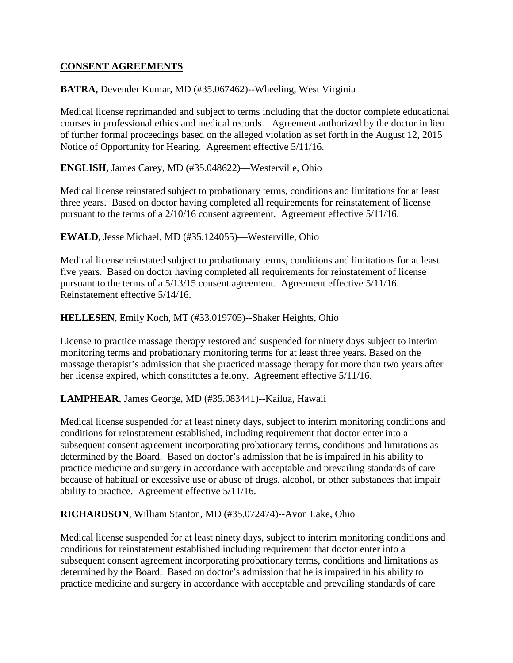### **CONSENT AGREEMENTS**

### **BATRA,** Devender Kumar, MD (#35.067462)--Wheeling, West Virginia

Medical license reprimanded and subject to terms including that the doctor complete educational courses in professional ethics and medical records. Agreement authorized by the doctor in lieu of further formal proceedings based on the alleged violation as set forth in the August 12, 2015 Notice of Opportunity for Hearing. Agreement effective 5/11/16.

**ENGLISH,** James Carey, MD (#35.048622)—Westerville, Ohio

Medical license reinstated subject to probationary terms, conditions and limitations for at least three years. Based on doctor having completed all requirements for reinstatement of license pursuant to the terms of a 2/10/16 consent agreement. Agreement effective 5/11/16.

**EWALD,** Jesse Michael, MD (#35.124055)—Westerville, Ohio

Medical license reinstated subject to probationary terms, conditions and limitations for at least five years. Based on doctor having completed all requirements for reinstatement of license pursuant to the terms of a 5/13/15 consent agreement. Agreement effective 5/11/16. Reinstatement effective 5/14/16.

#### **HELLESEN**, Emily Koch, MT (#33.019705)--Shaker Heights, Ohio

License to practice massage therapy restored and suspended for ninety days subject to interim monitoring terms and probationary monitoring terms for at least three years. Based on the massage therapist's admission that she practiced massage therapy for more than two years after her license expired, which constitutes a felony. Agreement effective 5/11/16.

**LAMPHEAR**, James George, MD (#35.083441)--Kailua, Hawaii

Medical license suspended for at least ninety days, subject to interim monitoring conditions and conditions for reinstatement established, including requirement that doctor enter into a subsequent consent agreement incorporating probationary terms, conditions and limitations as determined by the Board. Based on doctor's admission that he is impaired in his ability to practice medicine and surgery in accordance with acceptable and prevailing standards of care because of habitual or excessive use or abuse of drugs, alcohol, or other substances that impair ability to practice. Agreement effective 5/11/16.

**RICHARDSON**, William Stanton, MD (#35.072474)--Avon Lake, Ohio

Medical license suspended for at least ninety days, subject to interim monitoring conditions and conditions for reinstatement established including requirement that doctor enter into a subsequent consent agreement incorporating probationary terms, conditions and limitations as determined by the Board. Based on doctor's admission that he is impaired in his ability to practice medicine and surgery in accordance with acceptable and prevailing standards of care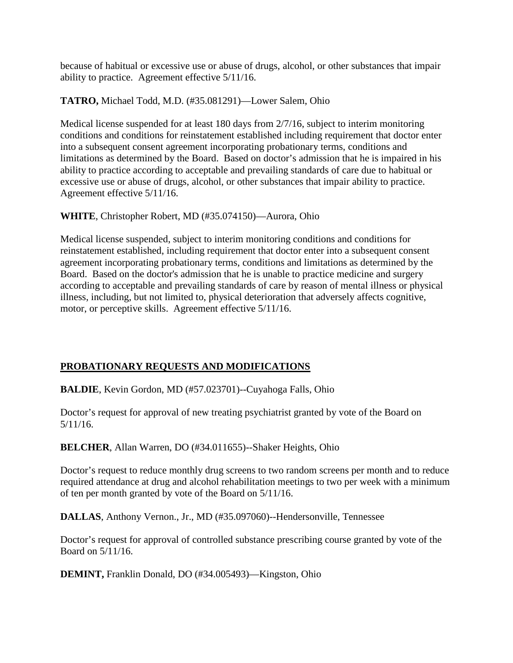because of habitual or excessive use or abuse of drugs, alcohol, or other substances that impair ability to practice. Agreement effective 5/11/16.

**TATRO,** Michael Todd, M.D. (#35.081291)—Lower Salem, Ohio

Medical license suspended for at least 180 days from 2/7/16, subject to interim monitoring conditions and conditions for reinstatement established including requirement that doctor enter into a subsequent consent agreement incorporating probationary terms, conditions and limitations as determined by the Board. Based on doctor's admission that he is impaired in his ability to practice according to acceptable and prevailing standards of care due to habitual or excessive use or abuse of drugs, alcohol, or other substances that impair ability to practice. Agreement effective 5/11/16.

**WHITE**, Christopher Robert, MD (#35.074150)—Aurora, Ohio

Medical license suspended, subject to interim monitoring conditions and conditions for reinstatement established, including requirement that doctor enter into a subsequent consent agreement incorporating probationary terms, conditions and limitations as determined by the Board. Based on the doctor's admission that he is unable to practice medicine and surgery according to acceptable and prevailing standards of care by reason of mental illness or physical illness, including, but not limited to, physical deterioration that adversely affects cognitive, motor, or perceptive skills. Agreement effective 5/11/16.

# **PROBATIONARY REQUESTS AND MODIFICATIONS**

**BALDIE**, Kevin Gordon, MD (#57.023701)--Cuyahoga Falls, Ohio

Doctor's request for approval of new treating psychiatrist granted by vote of the Board on 5/11/16.

**BELCHER**, Allan Warren, DO (#34.011655)--Shaker Heights, Ohio

Doctor's request to reduce monthly drug screens to two random screens per month and to reduce required attendance at drug and alcohol rehabilitation meetings to two per week with a minimum of ten per month granted by vote of the Board on 5/11/16.

**DALLAS**, Anthony Vernon., Jr., MD (#35.097060)--Hendersonville, Tennessee

Doctor's request for approval of controlled substance prescribing course granted by vote of the Board on 5/11/16.

**DEMINT,** Franklin Donald, DO (#34.005493)—Kingston, Ohio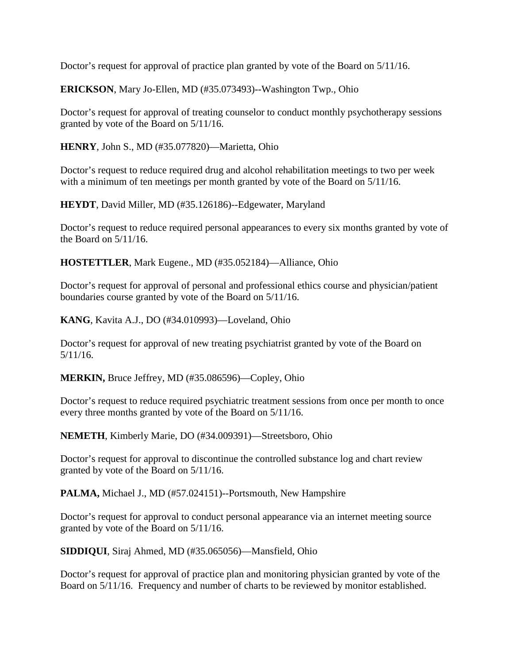Doctor's request for approval of practice plan granted by vote of the Board on 5/11/16.

**ERICKSON**, Mary Jo-Ellen, MD (#35.073493)--Washington Twp., Ohio

Doctor's request for approval of treating counselor to conduct monthly psychotherapy sessions granted by vote of the Board on 5/11/16.

**HENRY**, John S., MD (#35.077820)—Marietta, Ohio

Doctor's request to reduce required drug and alcohol rehabilitation meetings to two per week with a minimum of ten meetings per month granted by vote of the Board on  $5/11/16$ .

**HEYDT**, David Miller, MD (#35.126186)--Edgewater, Maryland

Doctor's request to reduce required personal appearances to every six months granted by vote of the Board on 5/11/16.

**HOSTETTLER**, Mark Eugene., MD (#35.052184)—Alliance, Ohio

Doctor's request for approval of personal and professional ethics course and physician/patient boundaries course granted by vote of the Board on 5/11/16.

**KANG**, Kavita A.J., DO (#34.010993)—Loveland, Ohio

Doctor's request for approval of new treating psychiatrist granted by vote of the Board on 5/11/16.

**MERKIN,** Bruce Jeffrey, MD (#35.086596)—Copley, Ohio

Doctor's request to reduce required psychiatric treatment sessions from once per month to once every three months granted by vote of the Board on 5/11/16.

**NEMETH**, Kimberly Marie, DO (#34.009391)—Streetsboro, Ohio

Doctor's request for approval to discontinue the controlled substance log and chart review granted by vote of the Board on 5/11/16.

**PALMA,** Michael J., MD (#57.024151)--Portsmouth, New Hampshire

Doctor's request for approval to conduct personal appearance via an internet meeting source granted by vote of the Board on 5/11/16.

**SIDDIQUI**, Siraj Ahmed, MD (#35.065056)—Mansfield, Ohio

Doctor's request for approval of practice plan and monitoring physician granted by vote of the Board on 5/11/16. Frequency and number of charts to be reviewed by monitor established.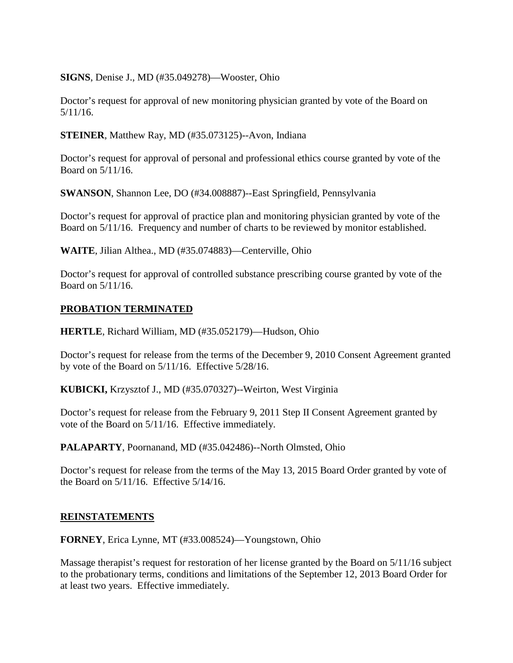**SIGNS**, Denise J., MD (#35.049278)—Wooster, Ohio

Doctor's request for approval of new monitoring physician granted by vote of the Board on 5/11/16.

**STEINER**, Matthew Ray, MD (#35.073125)--Avon, Indiana

Doctor's request for approval of personal and professional ethics course granted by vote of the Board on 5/11/16.

**SWANSON**, Shannon Lee, DO (#34.008887)--East Springfield, Pennsylvania

Doctor's request for approval of practice plan and monitoring physician granted by vote of the Board on 5/11/16. Frequency and number of charts to be reviewed by monitor established.

**WAITE**, Jilian Althea., MD (#35.074883)—Centerville, Ohio

Doctor's request for approval of controlled substance prescribing course granted by vote of the Board on 5/11/16.

### **PROBATION TERMINATED**

**HERTLE**, Richard William, MD (#35.052179)—Hudson, Ohio

Doctor's request for release from the terms of the December 9, 2010 Consent Agreement granted by vote of the Board on 5/11/16. Effective 5/28/16.

**KUBICKI,** Krzysztof J., MD (#35.070327)--Weirton, West Virginia

Doctor's request for release from the February 9, 2011 Step II Consent Agreement granted by vote of the Board on 5/11/16. Effective immediately.

**PALAPARTY**, Poornanand, MD (#35.042486)--North Olmsted, Ohio

Doctor's request for release from the terms of the May 13, 2015 Board Order granted by vote of the Board on 5/11/16. Effective 5/14/16.

#### **REINSTATEMENTS**

**FORNEY**, Erica Lynne, MT (#33.008524)—Youngstown, Ohio

Massage therapist's request for restoration of her license granted by the Board on 5/11/16 subject to the probationary terms, conditions and limitations of the September 12, 2013 Board Order for at least two years. Effective immediately.